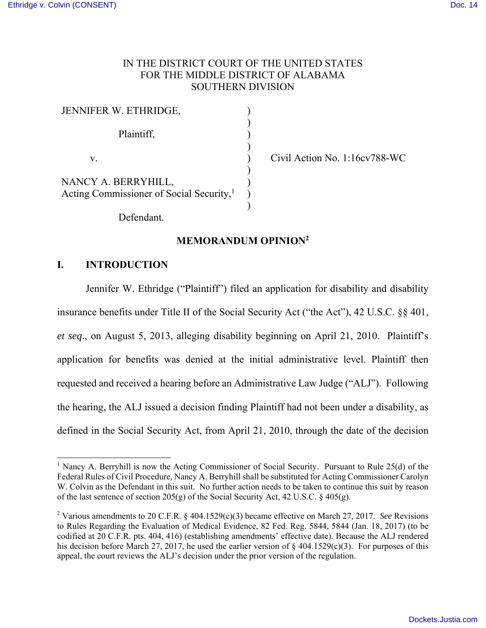## IN THE DISTRICT COURT OF THE UNITED STATES FOR THE MIDDLE DISTRICT OF ALABAMA SOUTHERN DIVISION

| JENNIFER W. ETHRIDGE,                                                       |  |
|-----------------------------------------------------------------------------|--|
| Plaintiff,                                                                  |  |
| V.                                                                          |  |
| NANCY A. BERRYHILL,<br>Acting Commissioner of Social Security, <sup>1</sup> |  |

Civil Action No. 1:16cv788-WC

Defendant.

## **MEMORANDUM OPINION<sup>2</sup>**

## **I. INTRODUCTION**

1

Jennifer W. Ethridge ("Plaintiff") filed an application for disability and disability insurance benefits under Title II of the Social Security Act ("the Act"), 42 U.S.C. §§ 401, *et seq*., on August 5, 2013, alleging disability beginning on April 21, 2010. Plaintiff's application for benefits was denied at the initial administrative level. Plaintiff then requested and received a hearing before an Administrative Law Judge ("ALJ"). Following the hearing, the ALJ issued a decision finding Plaintiff had not been under a disability, as defined in the Social Security Act, from April 21, 2010, through the date of the decision

<sup>&</sup>lt;sup>1</sup> Nancy A. Berryhill is now the Acting Commissioner of Social Security. Pursuant to Rule  $25(d)$  of the Federal Rules of Civil Procedure, Nancy A. Berryhill shall be substituted for Acting Commissioner Carolyn W. Colvin as the Defendant in this suit. No further action needs to be taken to continue this suit by reason of the last sentence of section 205(g) of the Social Security Act, 42 U.S.C. § 405(g).

<sup>2</sup> Various amendments to 20 C.F.R. § 404.1529(c)(3) became effective on March 27, 2017. *See* Revisions to Rules Regarding the Evaluation of Medical Evidence, 82 Fed. Reg. 5844, 5844 (Jan. 18, 2017) (to be codified at 20 C.F.R. pts. 404, 416) (establishing amendments' effective date). Because the ALJ rendered his decision before March 27, 2017, he used the earlier version of  $\S$  404.1529(c)(3). For purposes of this appeal, the court reviews the ALJ's decision under the prior version of the regulation.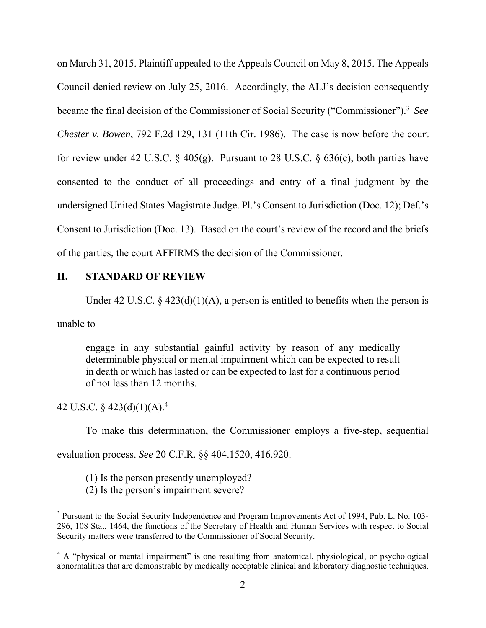on March 31, 2015. Plaintiff appealed to the Appeals Council on May 8, 2015. The Appeals Council denied review on July 25, 2016. Accordingly, the ALJ's decision consequently became the final decision of the Commissioner of Social Security ("Commissioner").<sup>3</sup> *See Chester v. Bowen*, 792 F.2d 129, 131 (11th Cir. 1986). The case is now before the court for review under 42 U.S.C. § 405(g). Pursuant to 28 U.S.C. § 636(c), both parties have consented to the conduct of all proceedings and entry of a final judgment by the undersigned United States Magistrate Judge. Pl.'s Consent to Jurisdiction (Doc. 12); Def.'s Consent to Jurisdiction (Doc. 13). Based on the court's review of the record and the briefs of the parties, the court AFFIRMS the decision of the Commissioner.

## **II. STANDARD OF REVIEW**

Under 42 U.S.C. § 423(d)(1)(A), a person is entitled to benefits when the person is

unable to

engage in any substantial gainful activity by reason of any medically determinable physical or mental impairment which can be expected to result in death or which has lasted or can be expected to last for a continuous period of not less than 12 months.

42 U.S.C. § 423(d)(1)(A).<sup>4</sup>

To make this determination, the Commissioner employs a five-step, sequential

evaluation process. *See* 20 C.F.R. §§ 404.1520, 416.920.

- (1) Is the person presently unemployed?
- (2) Is the person's impairment severe?

<sup>&</sup>lt;sup>3</sup> Pursuant to the Social Security Independence and Program Improvements Act of 1994, Pub. L. No. 103-296, 108 Stat. 1464, the functions of the Secretary of Health and Human Services with respect to Social Security matters were transferred to the Commissioner of Social Security.

<sup>&</sup>lt;sup>4</sup> A "physical or mental impairment" is one resulting from anatomical, physiological, or psychological abnormalities that are demonstrable by medically acceptable clinical and laboratory diagnostic techniques.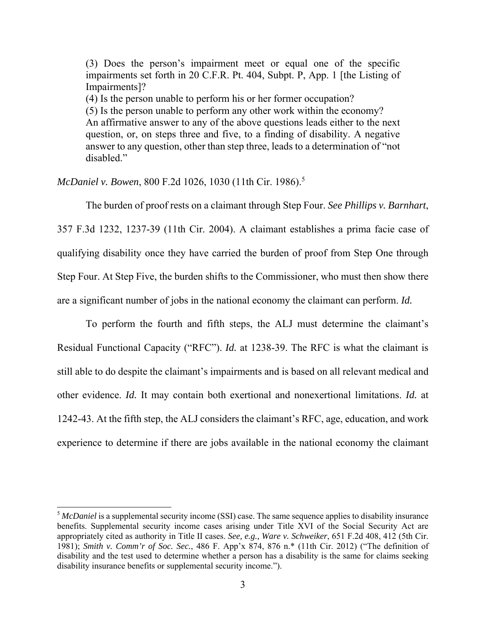(3) Does the person's impairment meet or equal one of the specific impairments set forth in 20 C.F.R. Pt. 404, Subpt. P, App. 1 [the Listing of Impairments]? (4) Is the person unable to perform his or her former occupation? (5) Is the person unable to perform any other work within the economy? An affirmative answer to any of the above questions leads either to the next question, or, on steps three and five, to a finding of disability. A negative answer to any question, other than step three, leads to a determination of "not disabled."

*McDaniel v. Bowen*, 800 F.2d 1026, 1030 (11th Cir. 1986).<sup>5</sup>

 $\overline{a}$ 

The burden of proof rests on a claimant through Step Four. *See Phillips v. Barnhart*, 357 F.3d 1232, 1237-39 (11th Cir. 2004). A claimant establishes a prima facie case of qualifying disability once they have carried the burden of proof from Step One through Step Four. At Step Five, the burden shifts to the Commissioner, who must then show there are a significant number of jobs in the national economy the claimant can perform. *Id.*

 To perform the fourth and fifth steps, the ALJ must determine the claimant's Residual Functional Capacity ("RFC"). *Id.* at 1238-39. The RFC is what the claimant is still able to do despite the claimant's impairments and is based on all relevant medical and other evidence. *Id.* It may contain both exertional and nonexertional limitations. *Id.* at 1242-43. At the fifth step, the ALJ considers the claimant's RFC, age, education, and work experience to determine if there are jobs available in the national economy the claimant

<sup>&</sup>lt;sup>5</sup> *McDaniel* is a supplemental security income (SSI) case. The same sequence applies to disability insurance benefits. Supplemental security income cases arising under Title XVI of the Social Security Act are appropriately cited as authority in Title II cases. *See, e.g., Ware v. Schweiker*, 651 F.2d 408, 412 (5th Cir. 1981); *Smith v. Comm'r of Soc. Sec.*, 486 F. App'x 874, 876 n.\* (11th Cir. 2012) ("The definition of disability and the test used to determine whether a person has a disability is the same for claims seeking disability insurance benefits or supplemental security income.").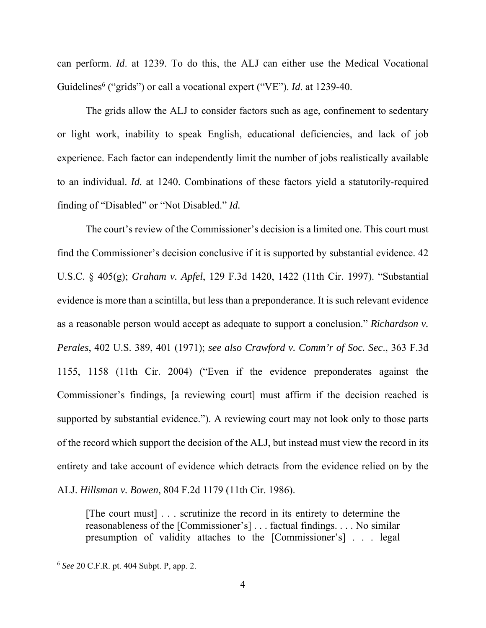can perform. *Id*. at 1239. To do this, the ALJ can either use the Medical Vocational Guidelines<sup>6</sup> ("grids") or call a vocational expert ("VE"). *Id.* at 1239-40.

The grids allow the ALJ to consider factors such as age, confinement to sedentary or light work, inability to speak English, educational deficiencies, and lack of job experience. Each factor can independently limit the number of jobs realistically available to an individual. *Id.* at 1240. Combinations of these factors yield a statutorily-required finding of "Disabled" or "Not Disabled." *Id.*

 The court's review of the Commissioner's decision is a limited one. This court must find the Commissioner's decision conclusive if it is supported by substantial evidence. 42 U.S.C. § 405(g); *Graham v. Apfel*, 129 F.3d 1420, 1422 (11th Cir. 1997). "Substantial evidence is more than a scintilla, but less than a preponderance. It is such relevant evidence as a reasonable person would accept as adequate to support a conclusion." *Richardson v. Perales*, 402 U.S. 389, 401 (1971); *see also Crawford v. Comm'r of Soc. Sec*., 363 F.3d 1155, 1158 (11th Cir. 2004) ("Even if the evidence preponderates against the Commissioner's findings, [a reviewing court] must affirm if the decision reached is supported by substantial evidence."). A reviewing court may not look only to those parts of the record which support the decision of the ALJ, but instead must view the record in its entirety and take account of evidence which detracts from the evidence relied on by the ALJ. *Hillsman v. Bowen*, 804 F.2d 1179 (11th Cir. 1986).

[The court must] . . . scrutinize the record in its entirety to determine the reasonableness of the [Commissioner's] . . . factual findings. . . . No similar presumption of validity attaches to the [Commissioner's] . . . legal

-

<sup>6</sup> *See* 20 C.F.R. pt. 404 Subpt. P, app. 2.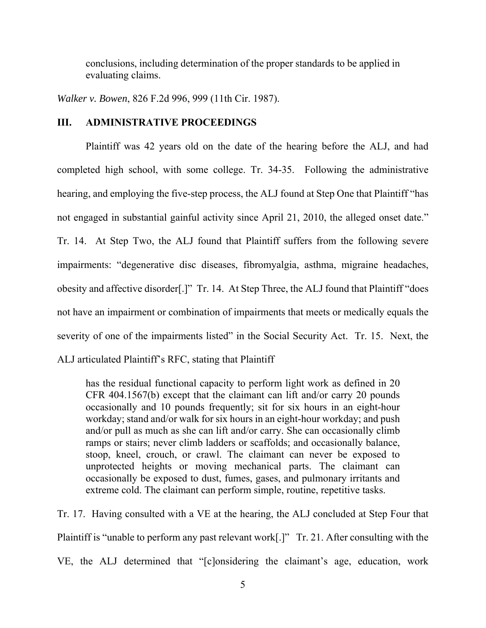conclusions, including determination of the proper standards to be applied in evaluating claims.

*Walker v. Bowen*, 826 F.2d 996, 999 (11th Cir. 1987).

## **III. ADMINISTRATIVE PROCEEDINGS**

Plaintiff was 42 years old on the date of the hearing before the ALJ, and had completed high school, with some college. Tr. 34-35. Following the administrative hearing, and employing the five-step process, the ALJ found at Step One that Plaintiff "has not engaged in substantial gainful activity since April 21, 2010, the alleged onset date." Tr. 14. At Step Two, the ALJ found that Plaintiff suffers from the following severe impairments: "degenerative disc diseases, fibromyalgia, asthma, migraine headaches, obesity and affective disorder[.]" Tr. 14. At Step Three, the ALJ found that Plaintiff "does not have an impairment or combination of impairments that meets or medically equals the severity of one of the impairments listed" in the Social Security Act. Tr. 15. Next, the ALJ articulated Plaintiff's RFC, stating that Plaintiff

has the residual functional capacity to perform light work as defined in 20 CFR 404.1567(b) except that the claimant can lift and/or carry 20 pounds occasionally and 10 pounds frequently; sit for six hours in an eight-hour workday; stand and/or walk for six hours in an eight-hour workday; and push and/or pull as much as she can lift and/or carry. She can occasionally climb ramps or stairs; never climb ladders or scaffolds; and occasionally balance, stoop, kneel, crouch, or crawl. The claimant can never be exposed to unprotected heights or moving mechanical parts. The claimant can occasionally be exposed to dust, fumes, gases, and pulmonary irritants and extreme cold. The claimant can perform simple, routine, repetitive tasks.

Tr. 17. Having consulted with a VE at the hearing, the ALJ concluded at Step Four that Plaintiff is "unable to perform any past relevant work[.]" Tr. 21. After consulting with the VE, the ALJ determined that "[c]onsidering the claimant's age, education, work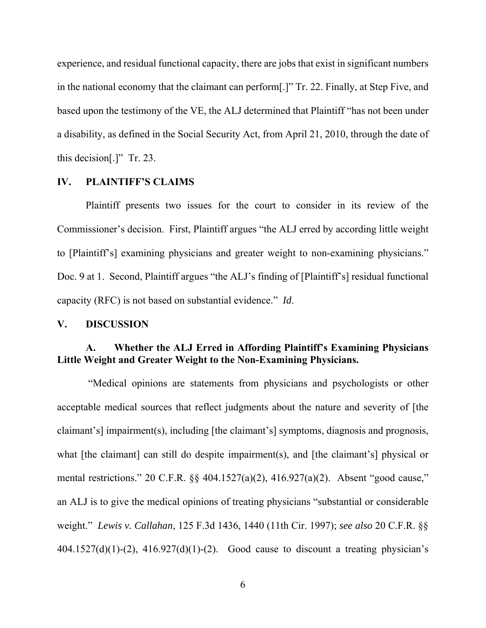experience, and residual functional capacity, there are jobs that exist in significant numbers in the national economy that the claimant can perform[.]" Tr. 22. Finally, at Step Five, and based upon the testimony of the VE, the ALJ determined that Plaintiff "has not been under a disability, as defined in the Social Security Act, from April 21, 2010, through the date of this decision[.]" Tr. 23.

### **IV. PLAINTIFF'S CLAIMS**

Plaintiff presents two issues for the court to consider in its review of the Commissioner's decision. First, Plaintiff argues "the ALJ erred by according little weight to [Plaintiff's] examining physicians and greater weight to non-examining physicians." Doc. 9 at 1. Second, Plaintiff argues "the ALJ's finding of [Plaintiff's] residual functional capacity (RFC) is not based on substantial evidence." *Id*.

### **V. DISCUSSION**

# **A. Whether the ALJ Erred in Affording Plaintiff's Examining Physicians Little Weight and Greater Weight to the Non-Examining Physicians.**

 "Medical opinions are statements from physicians and psychologists or other acceptable medical sources that reflect judgments about the nature and severity of [the claimant's] impairment(s), including [the claimant's] symptoms, diagnosis and prognosis, what [the claimant] can still do despite impairment(s), and [the claimant's] physical or mental restrictions." 20 C.F.R. §§ 404.1527(a)(2), 416.927(a)(2). Absent "good cause," an ALJ is to give the medical opinions of treating physicians "substantial or considerable weight." *Lewis v. Callahan*, 125 F.3d 1436, 1440 (11th Cir. 1997); *see also* 20 C.F.R. §§  $404.1527(d)(1)-(2)$ ,  $416.927(d)(1)-(2)$ . Good cause to discount a treating physician's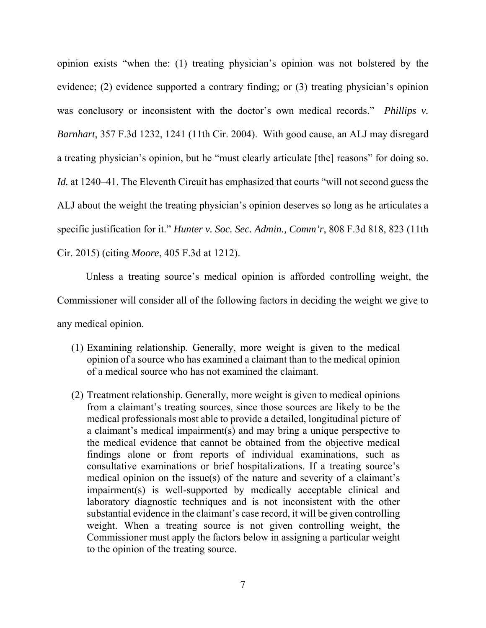opinion exists "when the: (1) treating physician's opinion was not bolstered by the evidence; (2) evidence supported a contrary finding; or (3) treating physician's opinion was conclusory or inconsistent with the doctor's own medical records." *Phillips v. Barnhart*, 357 F.3d 1232, 1241 (11th Cir. 2004). With good cause, an ALJ may disregard a treating physician's opinion, but he "must clearly articulate [the] reasons" for doing so. *Id.* at 1240–41. The Eleventh Circuit has emphasized that courts "will not second guess the ALJ about the weight the treating physician's opinion deserves so long as he articulates a specific justification for it." *Hunter v. Soc. Sec. Admin., Comm'r*, 808 F.3d 818, 823 (11th Cir. 2015) (citing *Moore*, 405 F.3d at 1212).

Unless a treating source's medical opinion is afforded controlling weight, the Commissioner will consider all of the following factors in deciding the weight we give to any medical opinion.

- (1) Examining relationship. Generally, more weight is given to the medical opinion of a source who has examined a claimant than to the medical opinion of a medical source who has not examined the claimant.
- (2) Treatment relationship. Generally, more weight is given to medical opinions from a claimant's treating sources, since those sources are likely to be the medical professionals most able to provide a detailed, longitudinal picture of a claimant's medical impairment(s) and may bring a unique perspective to the medical evidence that cannot be obtained from the objective medical findings alone or from reports of individual examinations, such as consultative examinations or brief hospitalizations. If a treating source's medical opinion on the issue(s) of the nature and severity of a claimant's impairment(s) is well-supported by medically acceptable clinical and laboratory diagnostic techniques and is not inconsistent with the other substantial evidence in the claimant's case record, it will be given controlling weight. When a treating source is not given controlling weight, the Commissioner must apply the factors below in assigning a particular weight to the opinion of the treating source.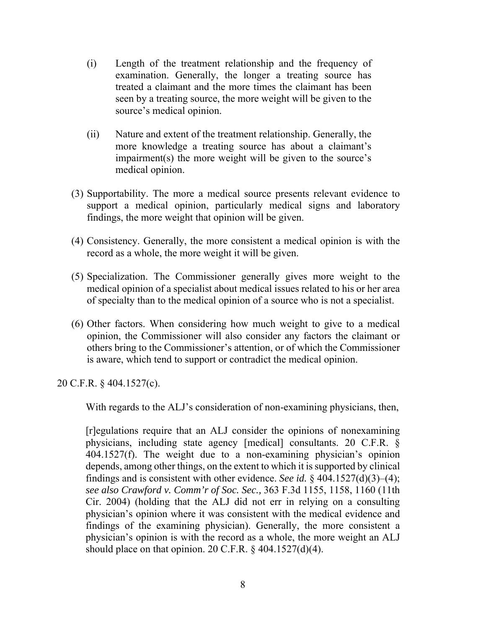- (i) Length of the treatment relationship and the frequency of examination. Generally, the longer a treating source has treated a claimant and the more times the claimant has been seen by a treating source, the more weight will be given to the source's medical opinion.
- (ii) Nature and extent of the treatment relationship. Generally, the more knowledge a treating source has about a claimant's impairment(s) the more weight will be given to the source's medical opinion.
- (3) Supportability. The more a medical source presents relevant evidence to support a medical opinion, particularly medical signs and laboratory findings, the more weight that opinion will be given.
- (4) Consistency. Generally, the more consistent a medical opinion is with the record as a whole, the more weight it will be given.
- (5) Specialization. The Commissioner generally gives more weight to the medical opinion of a specialist about medical issues related to his or her area of specialty than to the medical opinion of a source who is not a specialist.
- (6) Other factors. When considering how much weight to give to a medical opinion, the Commissioner will also consider any factors the claimant or others bring to the Commissioner's attention, or of which the Commissioner is aware, which tend to support or contradict the medical opinion.

20 C.F.R. § 404.1527(c).

With regards to the ALJ's consideration of non-examining physicians, then,

[r]egulations require that an ALJ consider the opinions of nonexamining physicians, including state agency [medical] consultants. 20 C.F.R. § 404.1527(f). The weight due to a non-examining physician's opinion depends, among other things, on the extent to which it is supported by clinical findings and is consistent with other evidence. *See id.* § 404.1527(d)(3)–(4); *see also Crawford v. Comm'r of Soc. Sec.,* 363 F.3d 1155, 1158, 1160 (11th Cir. 2004) (holding that the ALJ did not err in relying on a consulting physician's opinion where it was consistent with the medical evidence and findings of the examining physician). Generally, the more consistent a physician's opinion is with the record as a whole, the more weight an ALJ should place on that opinion. 20 C.F.R.  $\S$  404.1527(d)(4).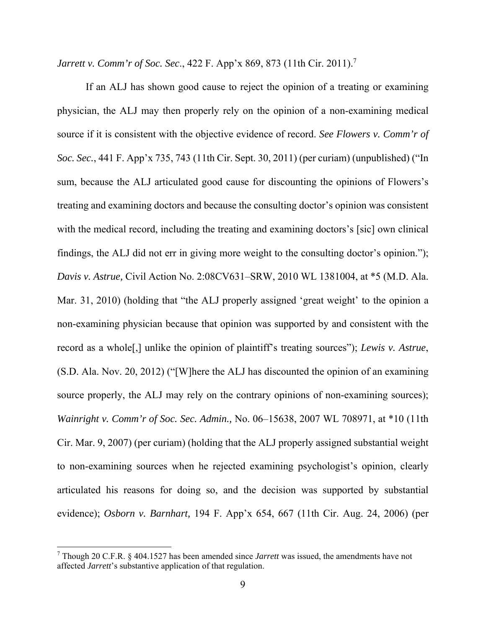*Jarrett v. Comm'r of Soc. Sec.*, 422 F. App'x 869, 873 (11th Cir. 2011).<sup>7</sup>

If an ALJ has shown good cause to reject the opinion of a treating or examining physician, the ALJ may then properly rely on the opinion of a non-examining medical source if it is consistent with the objective evidence of record. *See Flowers v. Comm'r of Soc. Sec.*, 441 F. App'x 735, 743 (11th Cir. Sept. 30, 2011) (per curiam) (unpublished) ("In sum, because the ALJ articulated good cause for discounting the opinions of Flowers's treating and examining doctors and because the consulting doctor's opinion was consistent with the medical record, including the treating and examining doctors's [sic] own clinical findings, the ALJ did not err in giving more weight to the consulting doctor's opinion."); *Davis v. Astrue,* Civil Action No. 2:08CV631–SRW, 2010 WL 1381004, at \*5 (M.D. Ala. Mar. 31, 2010) (holding that "the ALJ properly assigned 'great weight' to the opinion a non-examining physician because that opinion was supported by and consistent with the record as a whole[,] unlike the opinion of plaintiff's treating sources"); *Lewis v. Astrue*, (S.D. Ala. Nov. 20, 2012) ("[W]here the ALJ has discounted the opinion of an examining source properly, the ALJ may rely on the contrary opinions of non-examining sources); *Wainright v. Comm'r of Soc. Sec. Admin.,* No. 06–15638, 2007 WL 708971, at \*10 (11th Cir. Mar. 9, 2007) (per curiam) (holding that the ALJ properly assigned substantial weight to non-examining sources when he rejected examining psychologist's opinion, clearly articulated his reasons for doing so, and the decision was supported by substantial evidence); *Osborn v. Barnhart,* 194 F. App'x 654, 667 (11th Cir. Aug. 24, 2006) (per

-

<sup>7</sup> Though 20 C.F.R. § 404.1527 has been amended since *Jarrett* was issued, the amendments have not affected *Jarrett*'s substantive application of that regulation.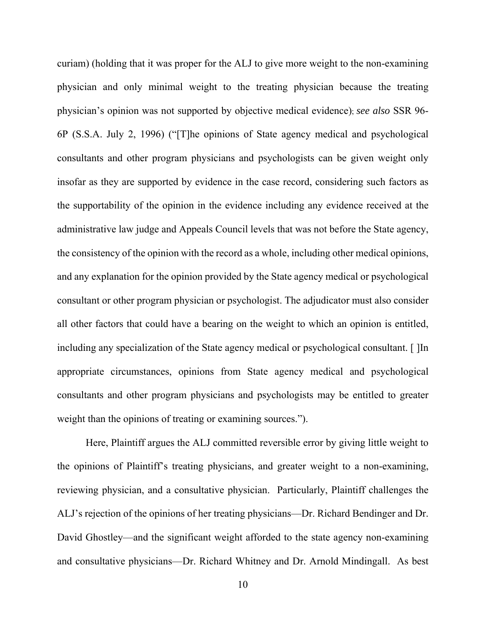curiam) (holding that it was proper for the ALJ to give more weight to the non-examining physician and only minimal weight to the treating physician because the treating physician's opinion was not supported by objective medical evidence); *see also* SSR 96- 6P (S.S.A. July 2, 1996) ("[T]he opinions of State agency medical and psychological consultants and other program physicians and psychologists can be given weight only insofar as they are supported by evidence in the case record, considering such factors as the supportability of the opinion in the evidence including any evidence received at the administrative law judge and Appeals Council levels that was not before the State agency, the consistency of the opinion with the record as a whole, including other medical opinions, and any explanation for the opinion provided by the State agency medical or psychological consultant or other program physician or psychologist. The adjudicator must also consider all other factors that could have a bearing on the weight to which an opinion is entitled, including any specialization of the State agency medical or psychological consultant. [ ]In appropriate circumstances, opinions from State agency medical and psychological consultants and other program physicians and psychologists may be entitled to greater weight than the opinions of treating or examining sources.").

Here, Plaintiff argues the ALJ committed reversible error by giving little weight to the opinions of Plaintiff's treating physicians, and greater weight to a non-examining, reviewing physician, and a consultative physician. Particularly, Plaintiff challenges the ALJ's rejection of the opinions of her treating physicians—Dr. Richard Bendinger and Dr. David Ghostley—and the significant weight afforded to the state agency non-examining and consultative physicians—Dr. Richard Whitney and Dr. Arnold Mindingall. As best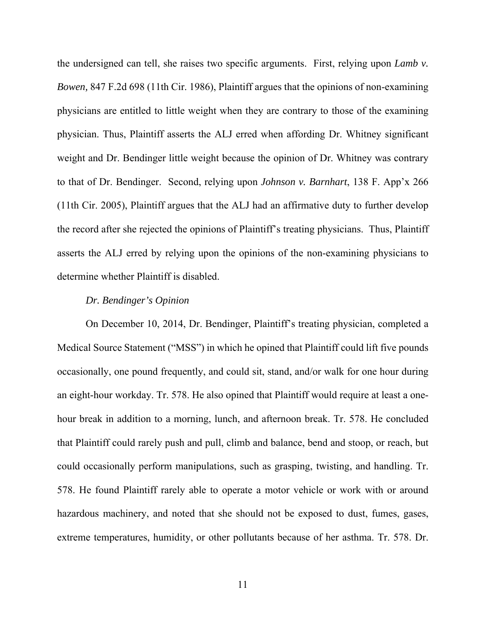the undersigned can tell, she raises two specific arguments. First, relying upon *Lamb v. Bowen,* 847 F.2d 698 (11th Cir. 1986), Plaintiff argues that the opinions of non-examining physicians are entitled to little weight when they are contrary to those of the examining physician. Thus, Plaintiff asserts the ALJ erred when affording Dr. Whitney significant weight and Dr. Bendinger little weight because the opinion of Dr. Whitney was contrary to that of Dr. Bendinger. Second, relying upon *Johnson v. Barnhart*, 138 F. App'x 266 (11th Cir. 2005), Plaintiff argues that the ALJ had an affirmative duty to further develop the record after she rejected the opinions of Plaintiff's treating physicians. Thus, Plaintiff asserts the ALJ erred by relying upon the opinions of the non-examining physicians to determine whether Plaintiff is disabled.

### *Dr. Bendinger's Opinion*

On December 10, 2014, Dr. Bendinger, Plaintiff's treating physician, completed a Medical Source Statement ("MSS") in which he opined that Plaintiff could lift five pounds occasionally, one pound frequently, and could sit, stand, and/or walk for one hour during an eight-hour workday. Tr. 578. He also opined that Plaintiff would require at least a onehour break in addition to a morning, lunch, and afternoon break. Tr. 578. He concluded that Plaintiff could rarely push and pull, climb and balance, bend and stoop, or reach, but could occasionally perform manipulations, such as grasping, twisting, and handling. Tr. 578. He found Plaintiff rarely able to operate a motor vehicle or work with or around hazardous machinery, and noted that she should not be exposed to dust, fumes, gases, extreme temperatures, humidity, or other pollutants because of her asthma. Tr. 578. Dr.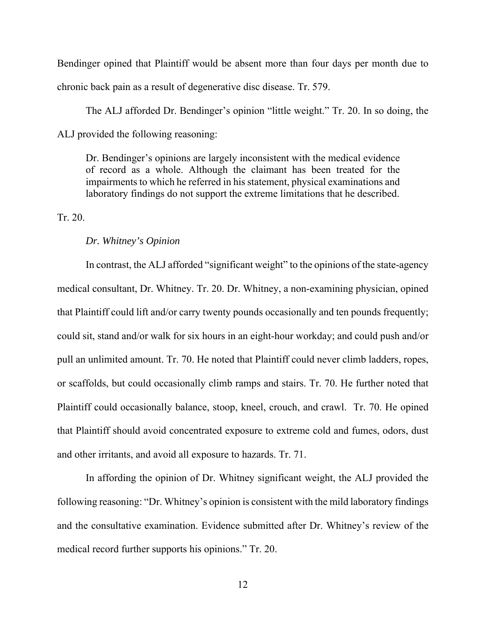Bendinger opined that Plaintiff would be absent more than four days per month due to chronic back pain as a result of degenerative disc disease. Tr. 579.

The ALJ afforded Dr. Bendinger's opinion "little weight." Tr. 20. In so doing, the ALJ provided the following reasoning:

Dr. Bendinger's opinions are largely inconsistent with the medical evidence of record as a whole. Although the claimant has been treated for the impairments to which he referred in his statement, physical examinations and laboratory findings do not support the extreme limitations that he described.

Tr. 20.

#### *Dr. Whitney's Opinion*

In contrast, the ALJ afforded "significant weight" to the opinions of the state-agency medical consultant, Dr. Whitney. Tr. 20. Dr. Whitney, a non-examining physician, opined that Plaintiff could lift and/or carry twenty pounds occasionally and ten pounds frequently; could sit, stand and/or walk for six hours in an eight-hour workday; and could push and/or pull an unlimited amount. Tr. 70. He noted that Plaintiff could never climb ladders, ropes, or scaffolds, but could occasionally climb ramps and stairs. Tr. 70. He further noted that Plaintiff could occasionally balance, stoop, kneel, crouch, and crawl. Tr. 70. He opined that Plaintiff should avoid concentrated exposure to extreme cold and fumes, odors, dust and other irritants, and avoid all exposure to hazards. Tr. 71.

In affording the opinion of Dr. Whitney significant weight, the ALJ provided the following reasoning: "Dr. Whitney's opinion is consistent with the mild laboratory findings and the consultative examination. Evidence submitted after Dr. Whitney's review of the medical record further supports his opinions." Tr. 20.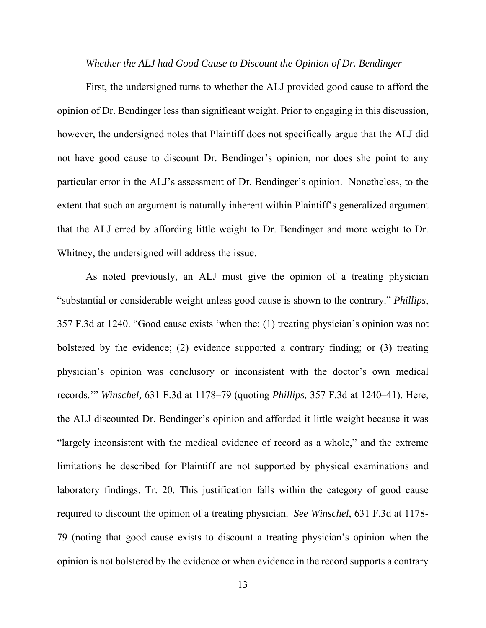*Whether the ALJ had Good Cause to Discount the Opinion of Dr. Bendinger* 

First, the undersigned turns to whether the ALJ provided good cause to afford the opinion of Dr. Bendinger less than significant weight. Prior to engaging in this discussion, however, the undersigned notes that Plaintiff does not specifically argue that the ALJ did not have good cause to discount Dr. Bendinger's opinion, nor does she point to any particular error in the ALJ's assessment of Dr. Bendinger's opinion. Nonetheless, to the extent that such an argument is naturally inherent within Plaintiff's generalized argument that the ALJ erred by affording little weight to Dr. Bendinger and more weight to Dr. Whitney, the undersigned will address the issue.

As noted previously, an ALJ must give the opinion of a treating physician "substantial or considerable weight unless good cause is shown to the contrary." *Phillips*, 357 F.3d at 1240. "Good cause exists 'when the: (1) treating physician's opinion was not bolstered by the evidence; (2) evidence supported a contrary finding; or (3) treating physician's opinion was conclusory or inconsistent with the doctor's own medical records.'" *Winschel,* 631 F.3d at 1178–79 (quoting *Phillips,* 357 F.3d at 1240–41). Here, the ALJ discounted Dr. Bendinger's opinion and afforded it little weight because it was "largely inconsistent with the medical evidence of record as a whole," and the extreme limitations he described for Plaintiff are not supported by physical examinations and laboratory findings. Tr. 20. This justification falls within the category of good cause required to discount the opinion of a treating physician. *See Winschel*, 631 F.3d at 1178- 79 (noting that good cause exists to discount a treating physician's opinion when the opinion is not bolstered by the evidence or when evidence in the record supports a contrary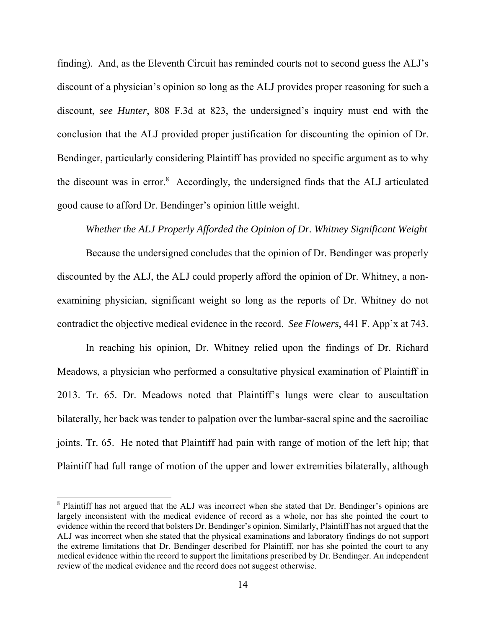finding). And, as the Eleventh Circuit has reminded courts not to second guess the ALJ's discount of a physician's opinion so long as the ALJ provides proper reasoning for such a discount, *see Hunter*, 808 F.3d at 823, the undersigned's inquiry must end with the conclusion that the ALJ provided proper justification for discounting the opinion of Dr. Bendinger, particularly considering Plaintiff has provided no specific argument as to why the discount was in error.<sup>8</sup> Accordingly, the undersigned finds that the ALJ articulated good cause to afford Dr. Bendinger's opinion little weight.

### *Whether the ALJ Properly Afforded the Opinion of Dr. Whitney Significant Weight*

Because the undersigned concludes that the opinion of Dr. Bendinger was properly discounted by the ALJ, the ALJ could properly afford the opinion of Dr. Whitney, a nonexamining physician, significant weight so long as the reports of Dr. Whitney do not contradict the objective medical evidence in the record. *See Flowers*, 441 F. App'x at 743.

In reaching his opinion, Dr. Whitney relied upon the findings of Dr. Richard Meadows, a physician who performed a consultative physical examination of Plaintiff in 2013. Tr. 65. Dr. Meadows noted that Plaintiff's lungs were clear to auscultation bilaterally, her back was tender to palpation over the lumbar-sacral spine and the sacroiliac joints. Tr. 65. He noted that Plaintiff had pain with range of motion of the left hip; that Plaintiff had full range of motion of the upper and lower extremities bilaterally, although

1

<sup>&</sup>lt;sup>8</sup> Plaintiff has not argued that the ALJ was incorrect when she stated that Dr. Bendinger's opinions are largely inconsistent with the medical evidence of record as a whole, nor has she pointed the court to evidence within the record that bolsters Dr. Bendinger's opinion. Similarly, Plaintiff has not argued that the ALJ was incorrect when she stated that the physical examinations and laboratory findings do not support the extreme limitations that Dr. Bendinger described for Plaintiff, nor has she pointed the court to any medical evidence within the record to support the limitations prescribed by Dr. Bendinger. An independent review of the medical evidence and the record does not suggest otherwise.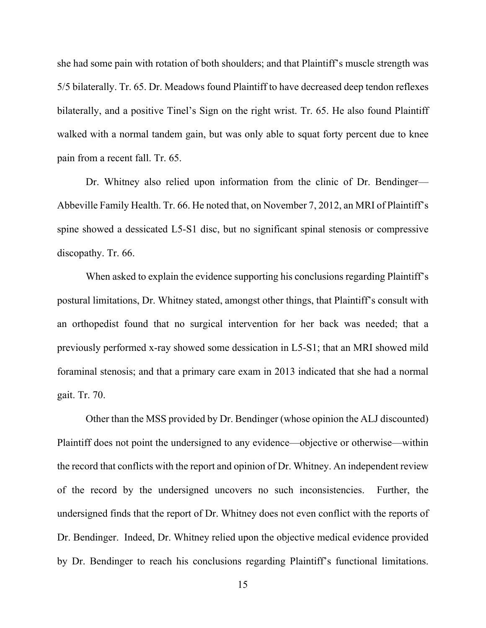she had some pain with rotation of both shoulders; and that Plaintiff's muscle strength was 5/5 bilaterally. Tr. 65. Dr. Meadows found Plaintiff to have decreased deep tendon reflexes bilaterally, and a positive Tinel's Sign on the right wrist. Tr. 65. He also found Plaintiff walked with a normal tandem gain, but was only able to squat forty percent due to knee pain from a recent fall. Tr. 65.

Dr. Whitney also relied upon information from the clinic of Dr. Bendinger— Abbeville Family Health. Tr. 66. He noted that, on November 7, 2012, an MRI of Plaintiff's spine showed a dessicated L5-S1 disc, but no significant spinal stenosis or compressive discopathy. Tr. 66.

When asked to explain the evidence supporting his conclusions regarding Plaintiff's postural limitations, Dr. Whitney stated, amongst other things, that Plaintiff's consult with an orthopedist found that no surgical intervention for her back was needed; that a previously performed x-ray showed some dessication in L5-S1; that an MRI showed mild foraminal stenosis; and that a primary care exam in 2013 indicated that she had a normal gait. Tr. 70.

Other than the MSS provided by Dr. Bendinger (whose opinion the ALJ discounted) Plaintiff does not point the undersigned to any evidence—objective or otherwise—within the record that conflicts with the report and opinion of Dr. Whitney. An independent review of the record by the undersigned uncovers no such inconsistencies. Further, the undersigned finds that the report of Dr. Whitney does not even conflict with the reports of Dr. Bendinger. Indeed, Dr. Whitney relied upon the objective medical evidence provided by Dr. Bendinger to reach his conclusions regarding Plaintiff's functional limitations.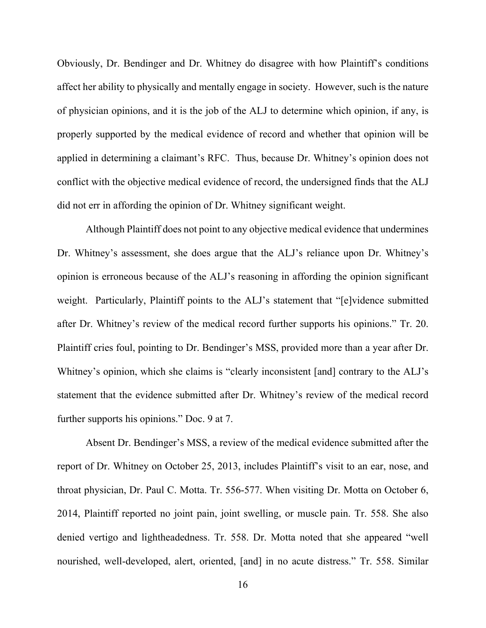Obviously, Dr. Bendinger and Dr. Whitney do disagree with how Plaintiff's conditions affect her ability to physically and mentally engage in society. However, such is the nature of physician opinions, and it is the job of the ALJ to determine which opinion, if any, is properly supported by the medical evidence of record and whether that opinion will be applied in determining a claimant's RFC. Thus, because Dr. Whitney's opinion does not conflict with the objective medical evidence of record, the undersigned finds that the ALJ did not err in affording the opinion of Dr. Whitney significant weight.

Although Plaintiff does not point to any objective medical evidence that undermines Dr. Whitney's assessment, she does argue that the ALJ's reliance upon Dr. Whitney's opinion is erroneous because of the ALJ's reasoning in affording the opinion significant weight. Particularly, Plaintiff points to the ALJ's statement that "[e]vidence submitted after Dr. Whitney's review of the medical record further supports his opinions." Tr. 20. Plaintiff cries foul, pointing to Dr. Bendinger's MSS, provided more than a year after Dr. Whitney's opinion, which she claims is "clearly inconsistent [and] contrary to the ALJ's statement that the evidence submitted after Dr. Whitney's review of the medical record further supports his opinions." Doc. 9 at 7.

Absent Dr. Bendinger's MSS, a review of the medical evidence submitted after the report of Dr. Whitney on October 25, 2013, includes Plaintiff's visit to an ear, nose, and throat physician, Dr. Paul C. Motta. Tr. 556-577. When visiting Dr. Motta on October 6, 2014, Plaintiff reported no joint pain, joint swelling, or muscle pain. Tr. 558. She also denied vertigo and lightheadedness. Tr. 558. Dr. Motta noted that she appeared "well nourished, well-developed, alert, oriented, [and] in no acute distress." Tr. 558. Similar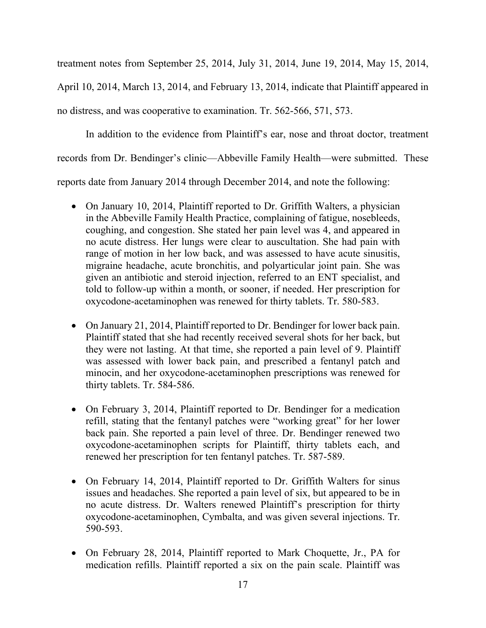treatment notes from September 25, 2014, July 31, 2014, June 19, 2014, May 15, 2014, April 10, 2014, March 13, 2014, and February 13, 2014, indicate that Plaintiff appeared in no distress, and was cooperative to examination. Tr. 562-566, 571, 573.

In addition to the evidence from Plaintiff's ear, nose and throat doctor, treatment records from Dr. Bendinger's clinic—Abbeville Family Health—were submitted. These reports date from January 2014 through December 2014, and note the following:

- On January 10, 2014, Plaintiff reported to Dr. Griffith Walters, a physician in the Abbeville Family Health Practice, complaining of fatigue, nosebleeds, coughing, and congestion. She stated her pain level was 4, and appeared in no acute distress. Her lungs were clear to auscultation. She had pain with range of motion in her low back, and was assessed to have acute sinusitis, migraine headache, acute bronchitis, and polyarticular joint pain. She was given an antibiotic and steroid injection, referred to an ENT specialist, and told to follow-up within a month, or sooner, if needed. Her prescription for oxycodone-acetaminophen was renewed for thirty tablets. Tr. 580-583.
- On January 21, 2014, Plaintiff reported to Dr. Bendinger for lower back pain. Plaintiff stated that she had recently received several shots for her back, but they were not lasting. At that time, she reported a pain level of 9. Plaintiff was assessed with lower back pain, and prescribed a fentanyl patch and minocin, and her oxycodone-acetaminophen prescriptions was renewed for thirty tablets. Tr. 584-586.
- On February 3, 2014, Plaintiff reported to Dr. Bendinger for a medication refill, stating that the fentanyl patches were "working great" for her lower back pain. She reported a pain level of three. Dr. Bendinger renewed two oxycodone-acetaminophen scripts for Plaintiff, thirty tablets each, and renewed her prescription for ten fentanyl patches. Tr. 587-589.
- On February 14, 2014, Plaintiff reported to Dr. Griffith Walters for sinus issues and headaches. She reported a pain level of six, but appeared to be in no acute distress. Dr. Walters renewed Plaintiff's prescription for thirty oxycodone-acetaminophen, Cymbalta, and was given several injections. Tr. 590-593.
- On February 28, 2014, Plaintiff reported to Mark Choquette, Jr., PA for medication refills. Plaintiff reported a six on the pain scale. Plaintiff was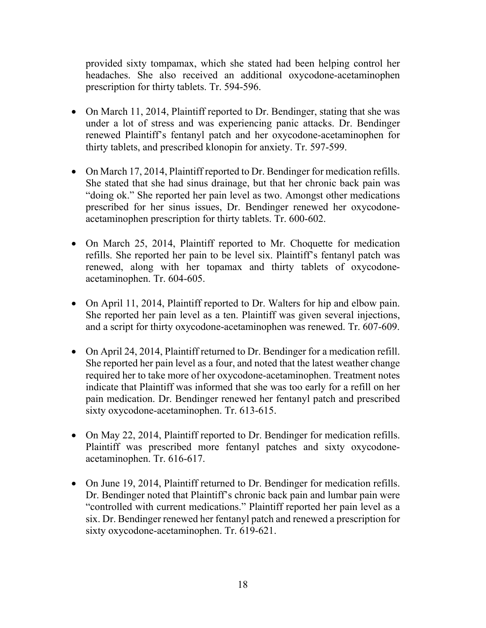provided sixty tompamax, which she stated had been helping control her headaches. She also received an additional oxycodone-acetaminophen prescription for thirty tablets. Tr. 594-596.

- On March 11, 2014, Plaintiff reported to Dr. Bendinger, stating that she was under a lot of stress and was experiencing panic attacks. Dr. Bendinger renewed Plaintiff's fentanyl patch and her oxycodone-acetaminophen for thirty tablets, and prescribed klonopin for anxiety. Tr. 597-599.
- On March 17, 2014, Plaintiff reported to Dr. Bendinger for medication refills. She stated that she had sinus drainage, but that her chronic back pain was "doing ok." She reported her pain level as two. Amongst other medications prescribed for her sinus issues, Dr. Bendinger renewed her oxycodoneacetaminophen prescription for thirty tablets. Tr. 600-602.
- On March 25, 2014, Plaintiff reported to Mr. Choquette for medication refills. She reported her pain to be level six. Plaintiff's fentanyl patch was renewed, along with her topamax and thirty tablets of oxycodoneacetaminophen. Tr. 604-605.
- On April 11, 2014, Plaintiff reported to Dr. Walters for hip and elbow pain. She reported her pain level as a ten. Plaintiff was given several injections, and a script for thirty oxycodone-acetaminophen was renewed. Tr. 607-609.
- On April 24, 2014, Plaintiff returned to Dr. Bendinger for a medication refill. She reported her pain level as a four, and noted that the latest weather change required her to take more of her oxycodone-acetaminophen. Treatment notes indicate that Plaintiff was informed that she was too early for a refill on her pain medication. Dr. Bendinger renewed her fentanyl patch and prescribed sixty oxycodone-acetaminophen. Tr. 613-615.
- On May 22, 2014, Plaintiff reported to Dr. Bendinger for medication refills. Plaintiff was prescribed more fentanyl patches and sixty oxycodoneacetaminophen. Tr. 616-617.
- On June 19, 2014, Plaintiff returned to Dr. Bendinger for medication refills. Dr. Bendinger noted that Plaintiff's chronic back pain and lumbar pain were "controlled with current medications." Plaintiff reported her pain level as a six. Dr. Bendinger renewed her fentanyl patch and renewed a prescription for sixty oxycodone-acetaminophen. Tr. 619-621.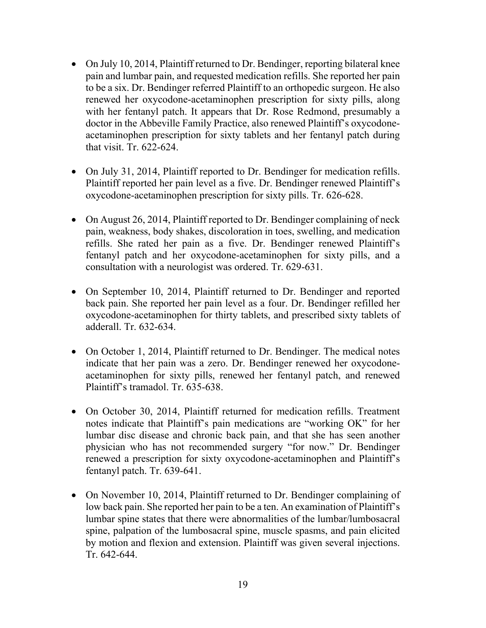- On July 10, 2014, Plaintiff returned to Dr. Bendinger, reporting bilateral knee pain and lumbar pain, and requested medication refills. She reported her pain to be a six. Dr. Bendinger referred Plaintiff to an orthopedic surgeon. He also renewed her oxycodone-acetaminophen prescription for sixty pills, along with her fentanyl patch. It appears that Dr. Rose Redmond, presumably a doctor in the Abbeville Family Practice, also renewed Plaintiff's oxycodoneacetaminophen prescription for sixty tablets and her fentanyl patch during that visit. Tr. 622-624.
- On July 31, 2014, Plaintiff reported to Dr. Bendinger for medication refills. Plaintiff reported her pain level as a five. Dr. Bendinger renewed Plaintiff's oxycodone-acetaminophen prescription for sixty pills. Tr. 626-628.
- On August 26, 2014, Plaintiff reported to Dr. Bendinger complaining of neck pain, weakness, body shakes, discoloration in toes, swelling, and medication refills. She rated her pain as a five. Dr. Bendinger renewed Plaintiff's fentanyl patch and her oxycodone-acetaminophen for sixty pills, and a consultation with a neurologist was ordered. Tr. 629-631.
- On September 10, 2014, Plaintiff returned to Dr. Bendinger and reported back pain. She reported her pain level as a four. Dr. Bendinger refilled her oxycodone-acetaminophen for thirty tablets, and prescribed sixty tablets of adderall. Tr. 632-634.
- On October 1, 2014, Plaintiff returned to Dr. Bendinger. The medical notes indicate that her pain was a zero. Dr. Bendinger renewed her oxycodoneacetaminophen for sixty pills, renewed her fentanyl patch, and renewed Plaintiff's tramadol. Tr. 635-638.
- On October 30, 2014, Plaintiff returned for medication refills. Treatment notes indicate that Plaintiff's pain medications are "working OK" for her lumbar disc disease and chronic back pain, and that she has seen another physician who has not recommended surgery "for now." Dr. Bendinger renewed a prescription for sixty oxycodone-acetaminophen and Plaintiff's fentanyl patch. Tr. 639-641.
- On November 10, 2014, Plaintiff returned to Dr. Bendinger complaining of low back pain. She reported her pain to be a ten. An examination of Plaintiff's lumbar spine states that there were abnormalities of the lumbar/lumbosacral spine, palpation of the lumbosacral spine, muscle spasms, and pain elicited by motion and flexion and extension. Plaintiff was given several injections. Tr. 642-644.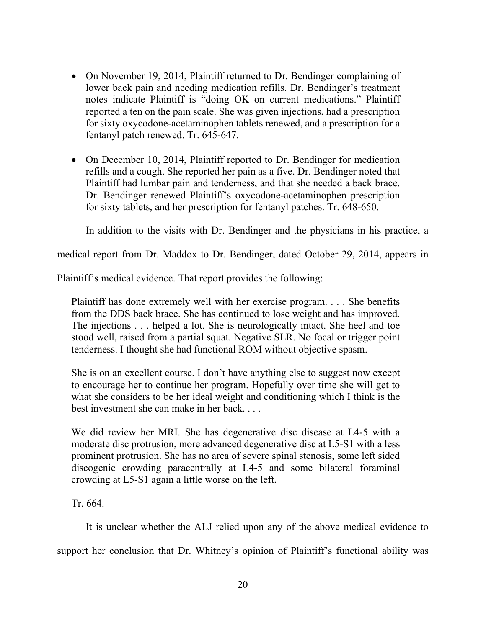- On November 19, 2014, Plaintiff returned to Dr. Bendinger complaining of lower back pain and needing medication refills. Dr. Bendinger's treatment notes indicate Plaintiff is "doing OK on current medications." Plaintiff reported a ten on the pain scale. She was given injections, had a prescription for sixty oxycodone-acetaminophen tablets renewed, and a prescription for a fentanyl patch renewed. Tr. 645-647.
- On December 10, 2014, Plaintiff reported to Dr. Bendinger for medication refills and a cough. She reported her pain as a five. Dr. Bendinger noted that Plaintiff had lumbar pain and tenderness, and that she needed a back brace. Dr. Bendinger renewed Plaintiff's oxycodone-acetaminophen prescription for sixty tablets, and her prescription for fentanyl patches. Tr. 648-650.

In addition to the visits with Dr. Bendinger and the physicians in his practice, a

medical report from Dr. Maddox to Dr. Bendinger, dated October 29, 2014, appears in

Plaintiff's medical evidence. That report provides the following:

Plaintiff has done extremely well with her exercise program. . . . She benefits from the DDS back brace. She has continued to lose weight and has improved. The injections . . . helped a lot. She is neurologically intact. She heel and toe stood well, raised from a partial squat. Negative SLR. No focal or trigger point tenderness. I thought she had functional ROM without objective spasm.

She is on an excellent course. I don't have anything else to suggest now except to encourage her to continue her program. Hopefully over time she will get to what she considers to be her ideal weight and conditioning which I think is the best investment she can make in her back. . . .

We did review her MRI. She has degenerative disc disease at L4-5 with a moderate disc protrusion, more advanced degenerative disc at L5-S1 with a less prominent protrusion. She has no area of severe spinal stenosis, some left sided discogenic crowding paracentrally at L4-5 and some bilateral foraminal crowding at L5-S1 again a little worse on the left.

Tr. 664.

It is unclear whether the ALJ relied upon any of the above medical evidence to

support her conclusion that Dr. Whitney's opinion of Plaintiff's functional ability was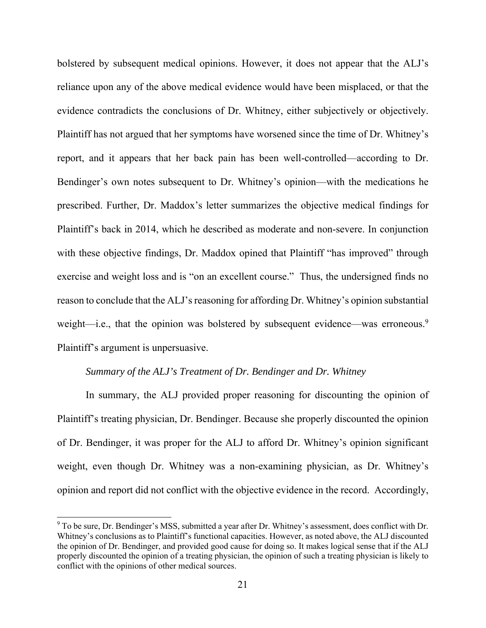bolstered by subsequent medical opinions. However, it does not appear that the ALJ's reliance upon any of the above medical evidence would have been misplaced, or that the evidence contradicts the conclusions of Dr. Whitney, either subjectively or objectively. Plaintiff has not argued that her symptoms have worsened since the time of Dr. Whitney's report, and it appears that her back pain has been well-controlled—according to Dr. Bendinger's own notes subsequent to Dr. Whitney's opinion—with the medications he prescribed. Further, Dr. Maddox's letter summarizes the objective medical findings for Plaintiff's back in 2014, which he described as moderate and non-severe. In conjunction with these objective findings, Dr. Maddox opined that Plaintiff "has improved" through exercise and weight loss and is "on an excellent course." Thus, the undersigned finds no reason to conclude that the ALJ's reasoning for affording Dr. Whitney's opinion substantial weight—i.e., that the opinion was bolstered by subsequent evidence—was erroneous.<sup>9</sup> Plaintiff's argument is unpersuasive.

### *Summary of the ALJ's Treatment of Dr. Bendinger and Dr. Whitney*

In summary, the ALJ provided proper reasoning for discounting the opinion of Plaintiff's treating physician, Dr. Bendinger. Because she properly discounted the opinion of Dr. Bendinger, it was proper for the ALJ to afford Dr. Whitney's opinion significant weight, even though Dr. Whitney was a non-examining physician, as Dr. Whitney's opinion and report did not conflict with the objective evidence in the record. Accordingly,

-

 $9$  To be sure, Dr. Bendinger's MSS, submitted a year after Dr. Whitney's assessment, does conflict with Dr. Whitney's conclusions as to Plaintiff's functional capacities. However, as noted above, the ALJ discounted the opinion of Dr. Bendinger, and provided good cause for doing so. It makes logical sense that if the ALJ properly discounted the opinion of a treating physician, the opinion of such a treating physician is likely to conflict with the opinions of other medical sources.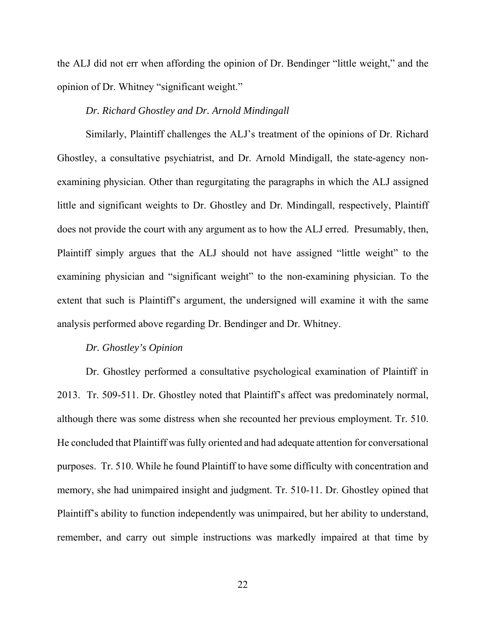the ALJ did not err when affording the opinion of Dr. Bendinger "little weight," and the opinion of Dr. Whitney "significant weight."

#### *Dr. Richard Ghostley and Dr. Arnold Mindingall*

Similarly, Plaintiff challenges the ALJ's treatment of the opinions of Dr. Richard Ghostley, a consultative psychiatrist, and Dr. Arnold Mindigall, the state-agency nonexamining physician. Other than regurgitating the paragraphs in which the ALJ assigned little and significant weights to Dr. Ghostley and Dr. Mindingall, respectively, Plaintiff does not provide the court with any argument as to how the ALJ erred. Presumably, then, Plaintiff simply argues that the ALJ should not have assigned "little weight" to the examining physician and "significant weight" to the non-examining physician. To the extent that such is Plaintiff's argument, the undersigned will examine it with the same analysis performed above regarding Dr. Bendinger and Dr. Whitney.

#### *Dr. Ghostley's Opinion*

Dr. Ghostley performed a consultative psychological examination of Plaintiff in 2013. Tr. 509-511. Dr. Ghostley noted that Plaintiff's affect was predominately normal, although there was some distress when she recounted her previous employment. Tr. 510. He concluded that Plaintiff was fully oriented and had adequate attention for conversational purposes. Tr. 510. While he found Plaintiff to have some difficulty with concentration and memory, she had unimpaired insight and judgment. Tr. 510-11. Dr. Ghostley opined that Plaintiff's ability to function independently was unimpaired, but her ability to understand, remember, and carry out simple instructions was markedly impaired at that time by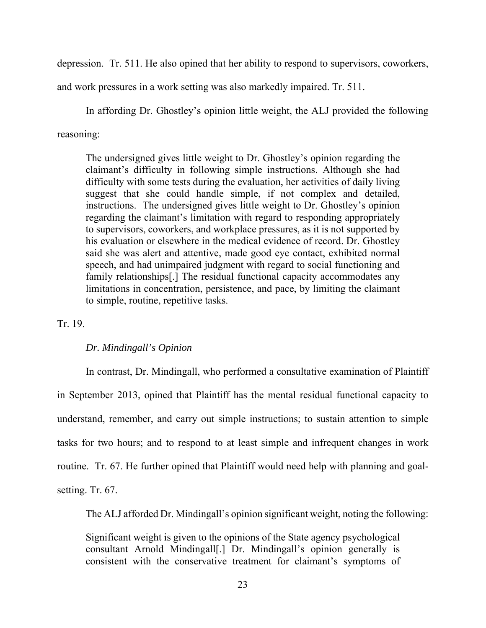depression. Tr. 511. He also opined that her ability to respond to supervisors, coworkers,

and work pressures in a work setting was also markedly impaired. Tr. 511.

In affording Dr. Ghostley's opinion little weight, the ALJ provided the following

reasoning:

The undersigned gives little weight to Dr. Ghostley's opinion regarding the claimant's difficulty in following simple instructions. Although she had difficulty with some tests during the evaluation, her activities of daily living suggest that she could handle simple, if not complex and detailed, instructions. The undersigned gives little weight to Dr. Ghostley's opinion regarding the claimant's limitation with regard to responding appropriately to supervisors, coworkers, and workplace pressures, as it is not supported by his evaluation or elsewhere in the medical evidence of record. Dr. Ghostley said she was alert and attentive, made good eye contact, exhibited normal speech, and had unimpaired judgment with regard to social functioning and family relationships[.] The residual functional capacity accommodates any limitations in concentration, persistence, and pace, by limiting the claimant to simple, routine, repetitive tasks.

## Tr. 19.

## *Dr. Mindingall's Opinion*

 In contrast, Dr. Mindingall, who performed a consultative examination of Plaintiff in September 2013, opined that Plaintiff has the mental residual functional capacity to understand, remember, and carry out simple instructions; to sustain attention to simple tasks for two hours; and to respond to at least simple and infrequent changes in work routine. Tr. 67. He further opined that Plaintiff would need help with planning and goalsetting. Tr. 67.

The ALJ afforded Dr. Mindingall's opinion significant weight, noting the following:

Significant weight is given to the opinions of the State agency psychological consultant Arnold Mindingall[.] Dr. Mindingall's opinion generally is consistent with the conservative treatment for claimant's symptoms of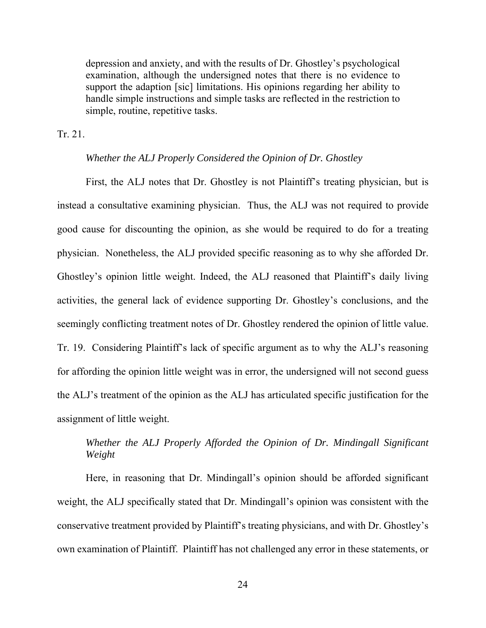depression and anxiety, and with the results of Dr. Ghostley's psychological examination, although the undersigned notes that there is no evidence to support the adaption [sic] limitations. His opinions regarding her ability to handle simple instructions and simple tasks are reflected in the restriction to simple, routine, repetitive tasks.

Tr. 21.

#### *Whether the ALJ Properly Considered the Opinion of Dr. Ghostley*

First, the ALJ notes that Dr. Ghostley is not Plaintiff's treating physician, but is instead a consultative examining physician. Thus, the ALJ was not required to provide good cause for discounting the opinion, as she would be required to do for a treating physician. Nonetheless, the ALJ provided specific reasoning as to why she afforded Dr. Ghostley's opinion little weight. Indeed, the ALJ reasoned that Plaintiff's daily living activities, the general lack of evidence supporting Dr. Ghostley's conclusions, and the seemingly conflicting treatment notes of Dr. Ghostley rendered the opinion of little value. Tr. 19. Considering Plaintiff's lack of specific argument as to why the ALJ's reasoning for affording the opinion little weight was in error, the undersigned will not second guess the ALJ's treatment of the opinion as the ALJ has articulated specific justification for the assignment of little weight.

# *Whether the ALJ Properly Afforded the Opinion of Dr. Mindingall Significant Weight*

Here, in reasoning that Dr. Mindingall's opinion should be afforded significant weight, the ALJ specifically stated that Dr. Mindingall's opinion was consistent with the conservative treatment provided by Plaintiff's treating physicians, and with Dr. Ghostley's own examination of Plaintiff. Plaintiff has not challenged any error in these statements, or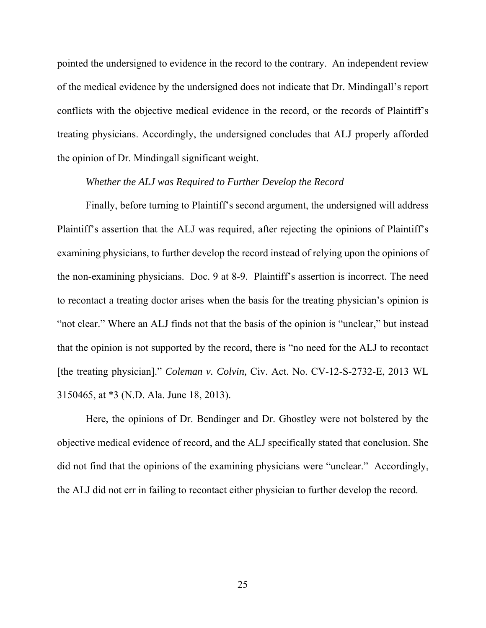pointed the undersigned to evidence in the record to the contrary. An independent review of the medical evidence by the undersigned does not indicate that Dr. Mindingall's report conflicts with the objective medical evidence in the record, or the records of Plaintiff's treating physicians. Accordingly, the undersigned concludes that ALJ properly afforded the opinion of Dr. Mindingall significant weight.

#### *Whether the ALJ was Required to Further Develop the Record*

 Finally, before turning to Plaintiff's second argument, the undersigned will address Plaintiff's assertion that the ALJ was required, after rejecting the opinions of Plaintiff's examining physicians, to further develop the record instead of relying upon the opinions of the non-examining physicians. Doc. 9 at 8-9. Plaintiff's assertion is incorrect. The need to recontact a treating doctor arises when the basis for the treating physician's opinion is "not clear." Where an ALJ finds not that the basis of the opinion is "unclear," but instead that the opinion is not supported by the record, there is "no need for the ALJ to recontact [the treating physician]." *Coleman v. Colvin,* Civ. Act. No. CV-12-S-2732-E, 2013 WL 3150465, at \*3 (N.D. Ala. June 18, 2013).

 Here, the opinions of Dr. Bendinger and Dr. Ghostley were not bolstered by the objective medical evidence of record, and the ALJ specifically stated that conclusion. She did not find that the opinions of the examining physicians were "unclear." Accordingly, the ALJ did not err in failing to recontact either physician to further develop the record.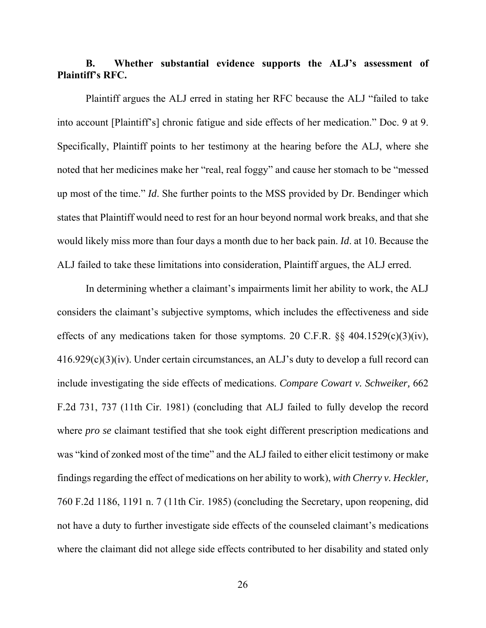# **B. Whether substantial evidence supports the ALJ's assessment of Plaintiff's RFC.**

 Plaintiff argues the ALJ erred in stating her RFC because the ALJ "failed to take into account [Plaintiff's] chronic fatigue and side effects of her medication." Doc. 9 at 9. Specifically, Plaintiff points to her testimony at the hearing before the ALJ, where she noted that her medicines make her "real, real foggy" and cause her stomach to be "messed up most of the time." *Id*. She further points to the MSS provided by Dr. Bendinger which states that Plaintiff would need to rest for an hour beyond normal work breaks, and that she would likely miss more than four days a month due to her back pain. *Id*. at 10. Because the ALJ failed to take these limitations into consideration, Plaintiff argues, the ALJ erred.

In determining whether a claimant's impairments limit her ability to work, the ALJ considers the claimant's subjective symptoms, which includes the effectiveness and side effects of any medications taken for those symptoms. 20 C.F.R.  $\S$ § 404.1529(c)(3)(iv), 416.929(c)(3)(iv). Under certain circumstances, an ALJ's duty to develop a full record can include investigating the side effects of medications. *Compare Cowart v. Schweiker,* 662 F.2d 731, 737 (11th Cir. 1981) (concluding that ALJ failed to fully develop the record where *pro se* claimant testified that she took eight different prescription medications and was "kind of zonked most of the time" and the ALJ failed to either elicit testimony or make findings regarding the effect of medications on her ability to work), *with Cherry v. Heckler,* 760 F.2d 1186, 1191 n. 7 (11th Cir. 1985) (concluding the Secretary, upon reopening, did not have a duty to further investigate side effects of the counseled claimant's medications where the claimant did not allege side effects contributed to her disability and stated only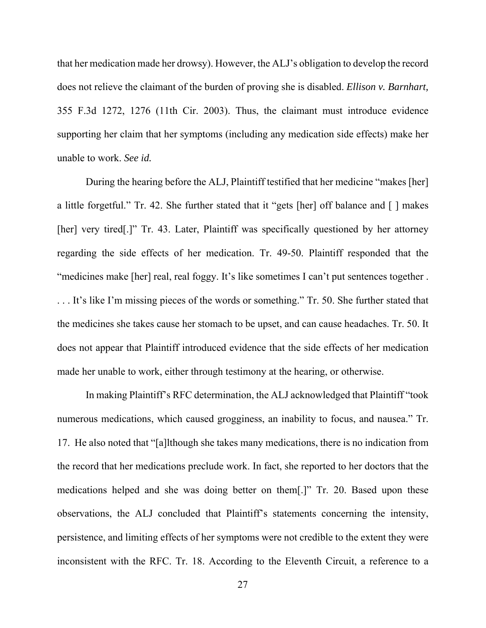that her medication made her drowsy). However, the ALJ's obligation to develop the record does not relieve the claimant of the burden of proving she is disabled. *Ellison v. Barnhart,* 355 F.3d 1272, 1276 (11th Cir. 2003). Thus, the claimant must introduce evidence supporting her claim that her symptoms (including any medication side effects) make her unable to work. *See id.*

 During the hearing before the ALJ, Plaintiff testified that her medicine "makes [her] a little forgetful." Tr. 42. She further stated that it "gets [her] off balance and [ ] makes [her] very tired[.]" Tr. 43. Later, Plaintiff was specifically questioned by her attorney regarding the side effects of her medication. Tr. 49-50. Plaintiff responded that the "medicines make [her] real, real foggy. It's like sometimes I can't put sentences together . . . . It's like I'm missing pieces of the words or something." Tr. 50. She further stated that the medicines she takes cause her stomach to be upset, and can cause headaches. Tr. 50. It does not appear that Plaintiff introduced evidence that the side effects of her medication made her unable to work, either through testimony at the hearing, or otherwise.

In making Plaintiff's RFC determination, the ALJ acknowledged that Plaintiff "took numerous medications, which caused grogginess, an inability to focus, and nausea." Tr. 17. He also noted that "[a]lthough she takes many medications, there is no indication from the record that her medications preclude work. In fact, she reported to her doctors that the medications helped and she was doing better on them[.]" Tr. 20. Based upon these observations, the ALJ concluded that Plaintiff's statements concerning the intensity, persistence, and limiting effects of her symptoms were not credible to the extent they were inconsistent with the RFC. Tr. 18. According to the Eleventh Circuit, a reference to a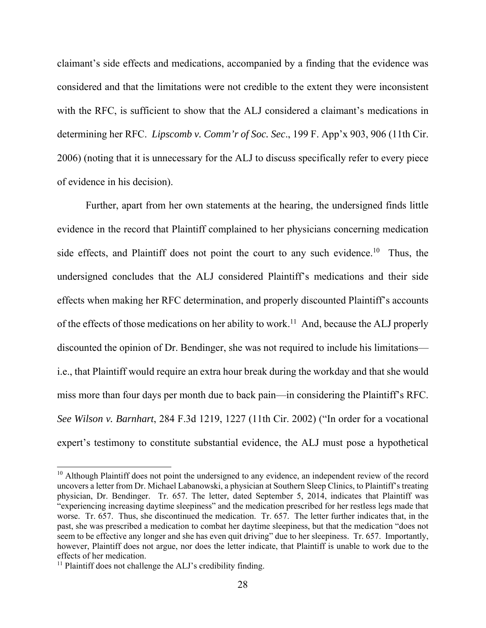claimant's side effects and medications, accompanied by a finding that the evidence was considered and that the limitations were not credible to the extent they were inconsistent with the RFC, is sufficient to show that the ALJ considered a claimant's medications in determining her RFC. *Lipscomb v. Comm'r of Soc. Sec*., 199 F. App'x 903, 906 (11th Cir. 2006) (noting that it is unnecessary for the ALJ to discuss specifically refer to every piece of evidence in his decision).

Further, apart from her own statements at the hearing, the undersigned finds little evidence in the record that Plaintiff complained to her physicians concerning medication side effects, and Plaintiff does not point the court to any such evidence.<sup>10</sup> Thus, the undersigned concludes that the ALJ considered Plaintiff's medications and their side effects when making her RFC determination, and properly discounted Plaintiff's accounts of the effects of those medications on her ability to work.<sup>11</sup> And, because the ALJ properly discounted the opinion of Dr. Bendinger, she was not required to include his limitations i.e., that Plaintiff would require an extra hour break during the workday and that she would miss more than four days per month due to back pain—in considering the Plaintiff's RFC. *See Wilson v. Barnhart*, 284 F.3d 1219, 1227 (11th Cir. 2002) ("In order for a vocational expert's testimony to constitute substantial evidence, the ALJ must pose a hypothetical

 $\overline{a}$ 

<sup>&</sup>lt;sup>10</sup> Although Plaintiff does not point the undersigned to any evidence, an independent review of the record uncovers a letter from Dr. Michael Labanowski, a physician at Southern Sleep Clinics, to Plaintiff's treating physician, Dr. Bendinger. Tr. 657. The letter, dated September 5, 2014, indicates that Plaintiff was "experiencing increasing daytime sleepiness" and the medication prescribed for her restless legs made that worse. Tr. 657. Thus, she discontinued the medication. Tr. 657. The letter further indicates that, in the past, she was prescribed a medication to combat her daytime sleepiness, but that the medication "does not seem to be effective any longer and she has even quit driving" due to her sleepiness. Tr. 657. Importantly, however, Plaintiff does not argue, nor does the letter indicate, that Plaintiff is unable to work due to the effects of her medication.

<sup>&</sup>lt;sup>11</sup> Plaintiff does not challenge the ALJ's credibility finding.